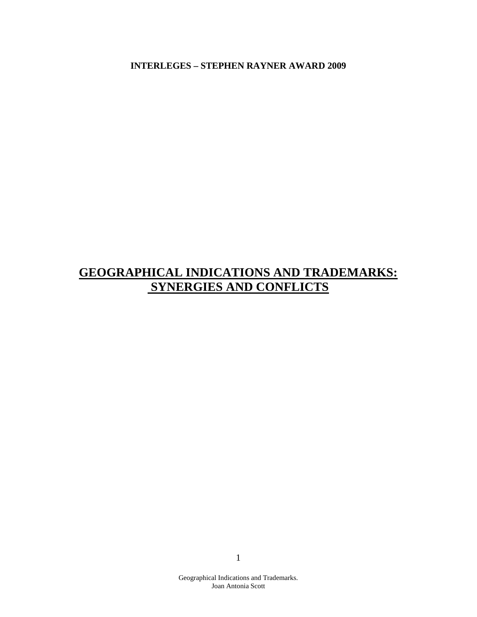**INTERLEGES – STEPHEN RAYNER AWARD 2009**

# **GEOGRAPHICAL INDICATIONS AND TRADEMARKS: SYNERGIES AND CONFLICTS**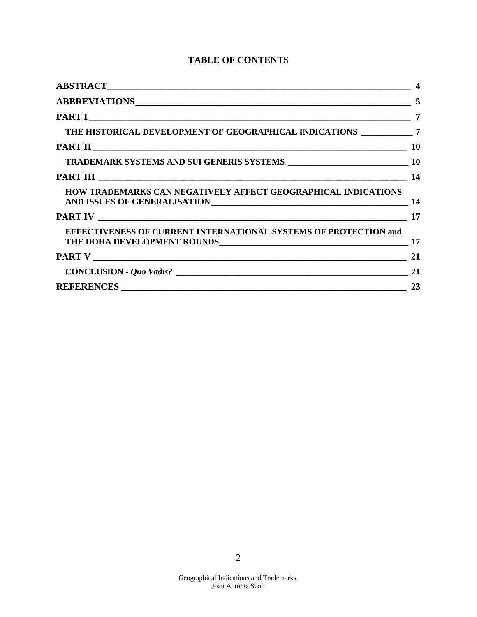|                                                                         | 5         |
|-------------------------------------------------------------------------|-----------|
|                                                                         | 7         |
| THE HISTORICAL DEVELOPMENT OF GEOGRAPHICAL INDICATIONS ______________ 7 |           |
|                                                                         | <b>10</b> |
|                                                                         |           |
|                                                                         |           |
| <b>HOW TRADEMARKS CAN NEGATIVELY AFFECT GEOGRAPHICAL INDICATIONS</b>    |           |
|                                                                         |           |
| <b>EFFECTIVENESS OF CURRENT INTERNATIONAL SYSTEMS OF PROTECTION and</b> |           |
|                                                                         | 21        |
| $CONCLUSION - Quo Vadis?$                                               | 21        |
|                                                                         | 23        |

# **TABLE OF CONTENTS**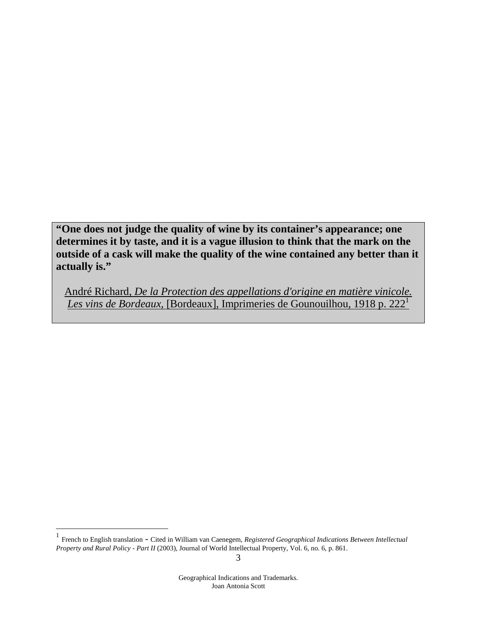**"One does not judge the quality of wine by its container's appearance; one determines it by taste, and it is a vague illusion to think that the mark on the outside of a cask will make the quality of the wine contained any better than it actually is."**

André Richard, *De la Protection des appellations d'origine en matière vinicole.*  Les vins de Bordeaux, [Bordeaux], Imprimeries de Gounouilhou, 1918 p. 222<sup>1</sup>

3

 <sup>1</sup> French to English translation - Cited in William van Caenegem, *Registered Geographical Indications Between Intellectual Property and Rural Policy - Part II* (2003), Journal of World Intellectual Property, Vol. 6, no. 6, p. 861.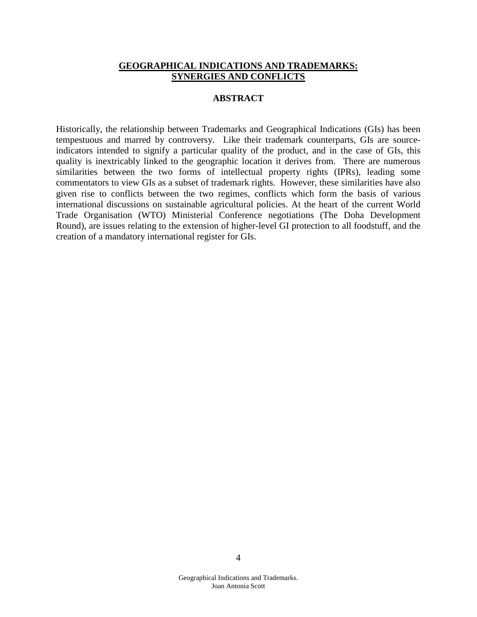#### **GEOGRAPHICAL INDICATIONS AND TRADEMARKS: SYNERGIES AND CONFLICTS**

#### **ABSTRACT**

<span id="page-3-0"></span>Historically, the relationship between Trademarks and Geographical Indications (GIs) has been tempestuous and marred by controversy. Like their trademark counterparts, GIs are sourceindicators intended to signify a particular quality of the product, and in the case of GIs, this quality is inextricably linked to the geographic location it derives from. There are numerous similarities between the two forms of intellectual property rights (IPRs), leading some commentators to view GIs as a subset of trademark rights. However, these similarities have also given rise to conflicts between the two regimes, conflicts which form the basis of various international discussions on sustainable agricultural policies. At the heart of the current World Trade Organisation (WTO) Ministerial Conference negotiations (The Doha Development Round), are issues relating to the extension of higher-level GI protection to all foodstuff, and the creation of a mandatory international register for GIs.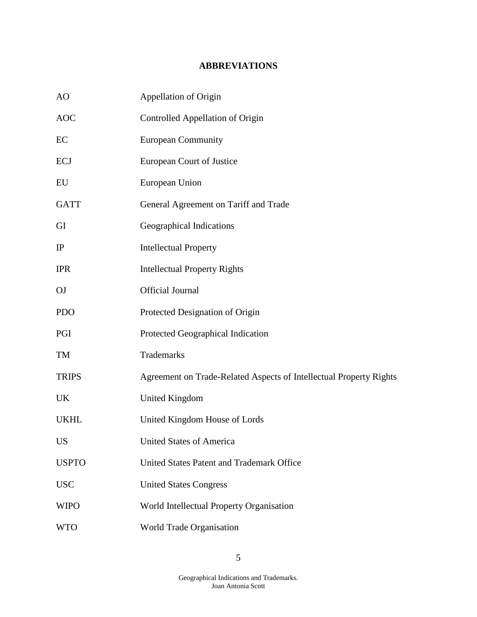# **ABBREVIATIONS**

<span id="page-4-0"></span>

| AO           | Appellation of Origin                                              |
|--------------|--------------------------------------------------------------------|
| <b>AOC</b>   | Controlled Appellation of Origin                                   |
| EC           | <b>European Community</b>                                          |
| <b>ECJ</b>   | <b>European Court of Justice</b>                                   |
| EU           | European Union                                                     |
| <b>GATT</b>  | General Agreement on Tariff and Trade                              |
| GI           | Geographical Indications                                           |
| IP           | <b>Intellectual Property</b>                                       |
| <b>IPR</b>   | <b>Intellectual Property Rights</b>                                |
| <b>OJ</b>    | Official Journal                                                   |
| <b>PDO</b>   | Protected Designation of Origin                                    |
| PGI          | Protected Geographical Indication                                  |
| <b>TM</b>    | Trademarks                                                         |
| <b>TRIPS</b> | Agreement on Trade-Related Aspects of Intellectual Property Rights |
| <b>UK</b>    | <b>United Kingdom</b>                                              |
| <b>UKHL</b>  | United Kingdom House of Lords                                      |
| US           | United States of America                                           |
| <b>USPTO</b> | United States Patent and Trademark Office                          |
| <b>USC</b>   | <b>United States Congress</b>                                      |
| <b>WIPO</b>  | World Intellectual Property Organisation                           |
| <b>WTO</b>   | World Trade Organisation                                           |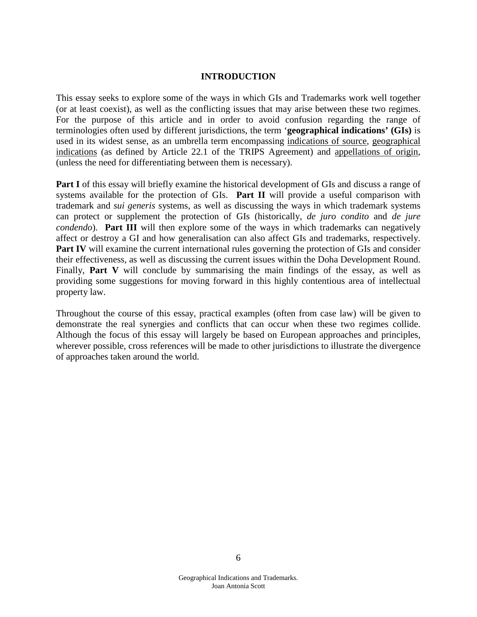#### **INTRODUCTION**

This essay seeks to explore some of the ways in which GIs and Trademarks work well together (or at least coexist), as well as the conflicting issues that may arise between these two regimes. For the purpose of this article and in order to avoid confusion regarding the range of terminologies often used by different jurisdictions, the term '**geographical indications' (GIs)** is used in its widest sense, as an umbrella term encompassing indications of source, geographical indications (as defined by Article 22.1 of the TRIPS Agreement) and appellations of origin, (unless the need for differentiating between them is necessary).

**Part I** of this essay will briefly examine the historical development of GIs and discuss a range of systems available for the protection of GIs. **Part II** will provide a useful comparison with trademark and *sui generis* systems, as well as discussing the ways in which trademark systems can protect or supplement the protection of GIs (historically, *de juro condito* and *de jure condendo*). **Part III** will then explore some of the ways in which trademarks can negatively affect or destroy a GI and how generalisation can also affect GIs and trademarks, respectively. **Part IV** will examine the current international rules governing the protection of GIs and consider their effectiveness, as well as discussing the current issues within the Doha Development Round. Finally, **Part V** will conclude by summarising the main findings of the essay, as well as providing some suggestions for moving forward in this highly contentious area of intellectual property law.

Throughout the course of this essay, practical examples (often from case law) will be given to demonstrate the real synergies and conflicts that can occur when these two regimes collide. Although the focus of this essay will largely be based on European approaches and principles, wherever possible, cross references will be made to other jurisdictions to illustrate the divergence of approaches taken around the world.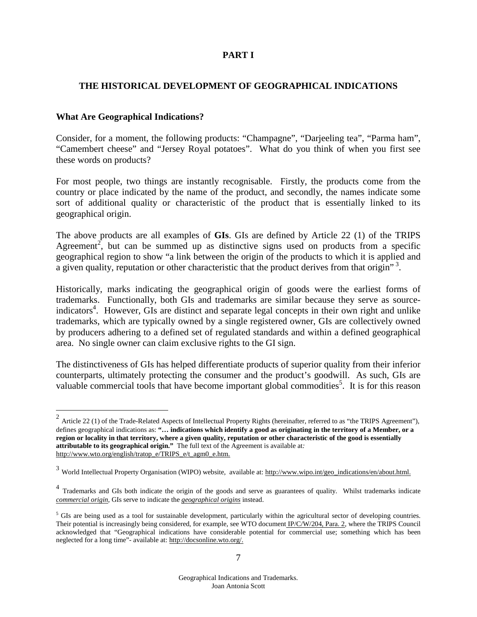# **PART I**

### <span id="page-6-1"></span><span id="page-6-0"></span>**THE HISTORICAL DEVELOPMENT OF GEOGRAPHICAL INDICATIONS**

### **What Are Geographical Indications?**

Consider, for a moment, the following products: "Champagne", "Darjeeling tea", "Parma ham", "Camembert cheese" and "Jersey Royal potatoes". What do you think of when you first see these words on products?

For most people, two things are instantly recognisable. Firstly, the products come from the country or place indicated by the name of the product, and secondly, the names indicate some sort of additional quality or characteristic of the product that is essentially linked to its geographical origin.

The above products are all examples of **GIs**. GIs are defined by Article 22 (1) of the TRIPS Agreement<sup>2</sup>, but can be summed up as distinctive signs used on products from a specific geographical region to show "a link between the origin of the products to which it is applied and a given quality, reputation or other characteristic that the product derives from that origin"<sup>3</sup>.

Historically, marks indicating the geographical origin of goods were the earliest forms of trademarks. Functionally, both GIs and trademarks are similar because they serve as sourceindicators<sup>4</sup>. However, GIs are distinct and separate legal concepts in their own right and unlike trademarks, which are typically owned by a single registered owner, GIs are collectively owned by producers adhering to a defined set of regulated standards and within a defined geographical area. No single owner can claim exclusive rights to the GI sign.

The distinctiveness of GIs has helped differentiate products of superior quality from their inferior counterparts, ultimately protecting the consumer and the product's goodwill. As such, GIs are valuable commercial tools that have become important global commodities<sup>5</sup>. It is for this reason

 $2$  Article 22 (1) of the Trade-Related Aspects of Intellectual Property Rights (hereinafter, referred to as "the TRIPS Agreement"), defines geographical indications as: **"… indications which identify a good as originating in the territory of a Member, or a region or locality in that territory, where a given quality, reputation or other characteristic of the good is essentially attributable to its geographical origin."** The full text of the Agreement is available at*:*  http://www.wto.org/english/tratop\_e/TRIPS\_e/t\_agm0\_e.htm.

<sup>&</sup>lt;sup>3</sup> World Intellectual Property Organisation (WIPO) website, available at: http://www.wipo.int/geo\_indications/en/about.html.

<sup>4</sup> Trademarks and GIs both indicate the origin of the goods and serve as guarantees of quality. Whilst trademarks indicate *commercial origin*, GIs serve to indicate the *geographical origins* instead.

 $<sup>5</sup>$  GIs are being used as a tool for sustainable development, particularly within the agricultural sector of developing countries.</sup> Their potential is increasingly being considered, for example, see WTO document IP/C/W/204, Para. 2, where the TRIPS Council acknowledged that "Geographical indications have considerable potential for commercial use; something which has been neglected for a long time"- available at[: http://docsonline.wto.org/.](http://docsonline.wto.org/)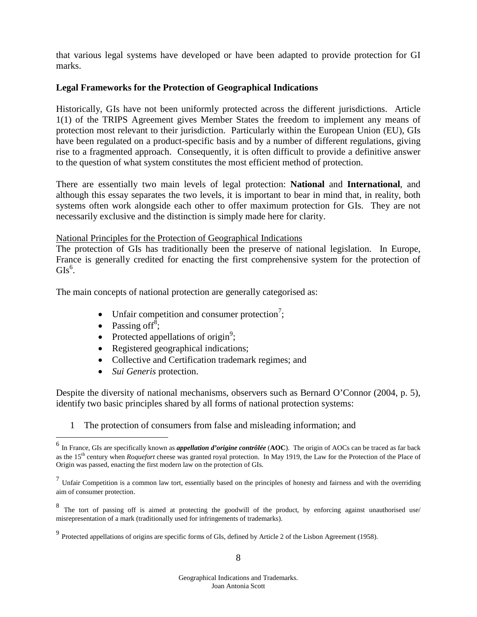that various legal systems have developed or have been adapted to provide protection for GI marks.

# **Legal Frameworks for the Protection of Geographical Indications**

Historically, GIs have not been uniformly protected across the different jurisdictions. Article 1(1) of the TRIPS Agreement gives Member States the freedom to implement any means of protection most relevant to their jurisdiction. Particularly within the European Union (EU), GIs have been regulated on a product-specific basis and by a number of different regulations, giving rise to a fragmented approach. Consequently, it is often difficult to provide a definitive answer to the question of what system constitutes the most efficient method of protection.

There are essentially two main levels of legal protection: **National** and **International**, and although this essay separates the two levels, it is important to bear in mind that, in reality, both systems often work alongside each other to offer maximum protection for GIs. They are not necessarily exclusive and the distinction is simply made here for clarity.

### National Principles for the Protection of Geographical Indications

The protection of GIs has traditionally been the preserve of national legislation. In Europe, France is generally credited for enacting the first comprehensive system for the protection of  $\mathrm{GIs}^6$ .

The main concepts of national protection are generally categorised as:

- Unfair competition and consumer protection<sup>7</sup>;
- Passing of  $f^8$ ;
- Protected appellations of origin<sup>9</sup>;
- Registered geographical indications;
- Collective and Certification trademark regimes; and
- *Sui Generis* protection.

Despite the diversity of national mechanisms, observers such as Bernard O'Connor (2004, p. 5), identify two basic principles shared by all forms of national protection systems:

1 The protection of consumers from false and misleading information; and

 <sup>6</sup> In France, GIs are specifically known as *appellation d'origine contrôlée* (**AOC**). The origin of AOCs can be traced as far back as the 15th century when *Roquefort* cheese was granted royal protection. In May 1919, the Law for the Protection of the Place of Origin was passed, enacting the first modern law on the protection of GIs.

 $7$  Unfair Competition is a common law tort, essentially based on the principles of honesty and fairness and with the overriding aim of consumer protection.

<sup>&</sup>lt;sup>8</sup> The tort of passing off is aimed at protecting the goodwill of the product, by enforcing against unauthorised use/ misrepresentation of a mark (traditionally used for infringements of trademarks).

<sup>9</sup> Protected appellations of origins are specific forms of GIs, defined by Article 2 of the Lisbon Agreement (1958).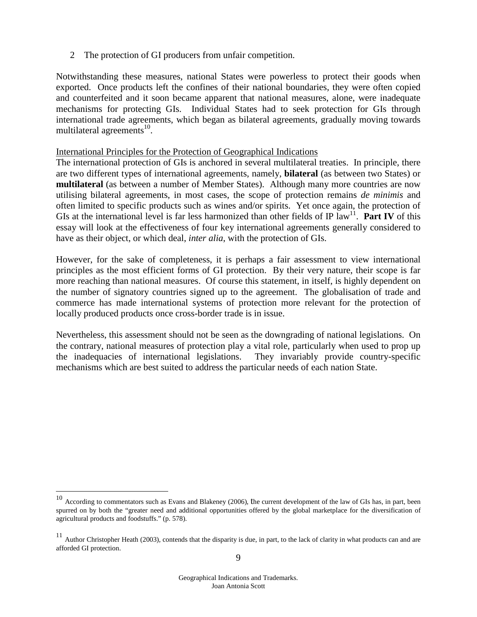2 The protection of GI producers from unfair competition.

Notwithstanding these measures, national States were powerless to protect their goods when exported. Once products left the confines of their national boundaries, they were often copied and counterfeited and it soon became apparent that national measures, alone, were inadequate mechanisms for protecting GIs. Individual States had to seek protection for GIs through international trade agreements, which began as bilateral agreements, gradually moving towards multilateral agreements $^{10}$ .

#### International Principles for the Protection of Geographical Indications

The international protection of GIs is anchored in several multilateral treaties. In principle, there are two different types of international agreements, namely, **bilateral** (as between two States) or **multilateral** (as between a number of Member States). Although many more countries are now utilising bilateral agreements, in most cases, the scope of protection remains *de minimis* and often limited to specific products such as wines and/or spirits. Yet once again, the protection of GIs at the international level is far less harmonized than other fields of IP  $\tilde{a}aw^{11}$ . **Part IV** of this essay will look at the effectiveness of four key international agreements generally considered to have as their object, or which deal, *inter alia*, with the protection of GIs.

However, for the sake of completeness, it is perhaps a fair assessment to view international principles as the most efficient forms of GI protection. By their very nature, their scope is far more reaching than national measures. Of course this statement, in itself, is highly dependent on the number of signatory countries signed up to the agreement. The globalisation of trade and commerce has made international systems of protection more relevant for the protection of locally produced products once cross-border trade is in issue.

Nevertheless, this assessment should not be seen as the downgrading of national legislations. On the contrary, national measures of protection play a vital role, particularly when used to prop up the inadequacies of international legislations. They invariably provide country-specific mechanisms which are best suited to address the particular needs of each nation State.

 <sup>10</sup> According to commentators such as Evans and Blakeney (2006), the current development of the law of GIs has, in part, been spurred on by both the "greater need and additional opportunities offered by the global marketplace for the diversification of agricultural products and foodstuffs." (p. 578).

 $11$  Author Christopher Heath (2003), contends that the disparity is due, in part, to the lack of clarity in what products can and are afforded GI protection.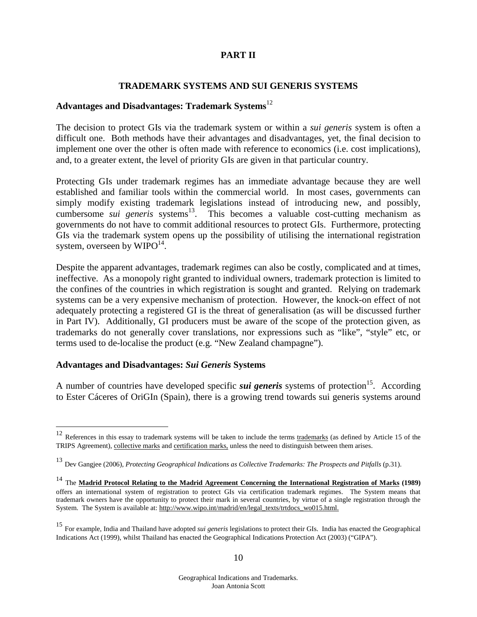# **PART II**

#### **TRADEMARK SYSTEMS AND SUI GENERIS SYSTEMS**

#### <span id="page-9-1"></span><span id="page-9-0"></span>**Advantages and Disadvantages: Trademark Systems**<sup>12</sup>

The decision to protect GIs via the trademark system or within a *sui generis* system is often a difficult one. Both methods have their advantages and disadvantages, yet, the final decision to implement one over the other is often made with reference to economics (i.e. cost implications), and, to a greater extent, the level of priority GIs are given in that particular country.

Protecting GIs under trademark regimes has an immediate advantage because they are well established and familiar tools within the commercial world. In most cases, governments can simply modify existing trademark legislations instead of introducing new, and possibly, cumbersome *sui generis* systems<sup>13</sup>. This becomes a valuable cost-cutting mechanism as governments do not have to commit additional resources to protect GIs. Furthermore, protecting GIs via the trademark system opens up the possibility of utilising the international registration system, overseen by  $W \Gamma Q^{14}$ .

Despite the apparent advantages, trademark regimes can also be costly, complicated and at times, ineffective. As a monopoly right granted to individual owners, trademark protection is limited to the confines of the countries in which registration is sought and granted. Relying on trademark systems can be a very expensive mechanism of protection. However, the knock-on effect of not adequately protecting a registered GI is the threat of generalisation (as will be discussed further in Part IV). Additionally, GI producers must be aware of the scope of the protection given, as trademarks do not generally cover translations, nor expressions such as "like", "style" etc, or terms used to de-localise the product (e.g. "New Zealand champagne").

#### **Advantages and Disadvantages:** *Sui Generis* **Systems**

A number of countries have developed specific *sui generis* systems of protection<sup>15</sup>. According to Ester Cáceres of OriGIn (Spain), there is a growing trend towards sui generis systems around

<sup>&</sup>lt;sup>12</sup> References in this essay to trademark systems will be taken to include the terms trademarks (as defined by Article 15 of the TRIPS Agreement), collective marks and certification marks, unless the need to distinguish between them arises.

<sup>13</sup> Dev Gangjee (2006), *Protecting Geographical Indications as Collective Trademarks: The Prospects and Pitfalls* (p.31).

<sup>14</sup> The **Madrid Protocol Relating to the Madrid Agreement Concerning the International Registration of Marks (1989)** offers an international system of registration to protect GIs via certification trademark regimes. The System means that trademark owners have the opportunity to protect their mark in several countries, by virtue of a single registration through the System. The System is available at: http://www.wipo.int/madrid/en/legal\_texts/trtdocs\_wo015.html.

<sup>15</sup> For example, India and Thailand have adopted *sui generis* legislations to protect their GIs. India has enacted the Geographical Indications Act (1999), whilst Thailand has enacted the Geographical Indications Protection Act (2003) ("GIPA").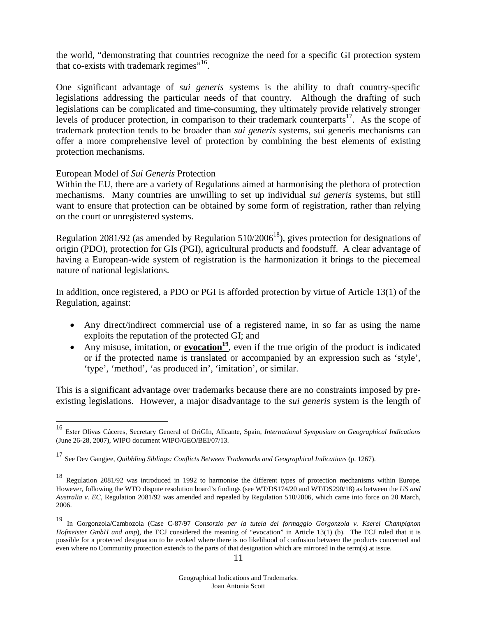the world, "demonstrating that countries recognize the need for a specific GI protection system that co-exists with trademark regimes $"^{16}$ .

One significant advantage of *sui generis* systems is the ability to draft country-specific legislations addressing the particular needs of that country. Although the drafting of such legislations can be complicated and time-consuming, they ultimately provide relatively stronger levels of producer protection, in comparison to their trademark counterparts<sup>17</sup>. As the scope of trademark protection tends to be broader than *sui generis* systems, sui generis mechanisms can offer a more comprehensive level of protection by combining the best elements of existing protection mechanisms.

### European Model of *Sui Generis* Protection

Within the EU, there are a variety of Regulations aimed at harmonising the plethora of protection mechanisms. Many countries are unwilling to set up individual *sui generis* systems, but still want to ensure that protection can be obtained by some form of registration, rather than relying on the court or unregistered systems.

Regulation 2081/92 (as amended by Regulation 510/2006<sup>18</sup>), gives protection for designations of origin (PDO), protection for GIs (PGI), agricultural products and foodstuff. A clear advantage of having a European-wide system of registration is the harmonization it brings to the piecemeal nature of national legislations.

In addition, once registered, a PDO or PGI is afforded protection by virtue of Article 13(1) of the Regulation, against:

- Any direct/indirect commercial use of a registered name, in so far as using the name exploits the reputation of the protected GI; and
- Any misuse, imitation, or **evocation**<sup>19</sup>, even if the true origin of the product is indicated or if the protected name is translated or accompanied by an expression such as 'style', 'type', 'method', 'as produced in', 'imitation', or similar.

This is a significant advantage over trademarks because there are no constraints imposed by preexisting legislations. However, a major disadvantage to the *sui generis* system is the length of

 <sup>16</sup> Ester Olivas Cáceres, Secretary General of OriGIn, Alicante, Spain, *International Symposium on Geographical Indications* (June 26-28, 2007), WIPO document WIPO/GEO/BEI/07/13.

<sup>17</sup> See Dev Gangjee, *Quibbling Siblings: Conflicts Between Trademarks and Geographical Indications* (p. 1267).

<sup>18</sup> Regulation 2081/92 was introduced in 1992 to harmonise the different types of protection mechanisms within Europe. However, following the WTO dispute resolution board's findings (see WT/DS174/20 and WT/DS290/18) as between the *US and Australia v. EC*, Regulation 2081/92 was amended and repealed by Regulation 510/2006, which came into force on 20 March, 2006.

<sup>19</sup> In Gorgonzola/Cambozola (Case C-87/97 *Consorzio per la tutela del formaggio Gorgonzola v. Kserei Champignon Hofmeister GmbH and amp*), the ECJ considered the meaning of "evocation" in Article 13(1) (b). The ECJ ruled that it is possible for a protected designation to be evoked where there is no likelihood of confusion between the products concerned and even where no Community protection extends to the parts of that designation which are mirrored in the term(s) at issue.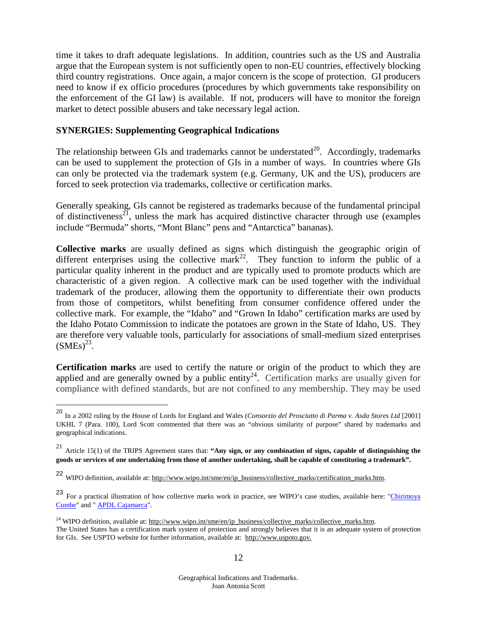time it takes to draft adequate legislations. In addition, countries such as the US and Australia argue that the European system is not sufficiently open to non-EU countries, effectively blocking third country registrations. Once again, a major concern is the scope of protection. GI producers need to know if ex officio procedures (procedures by which governments take responsibility on the enforcement of the GI law) is available. If not, producers will have to monitor the foreign market to detect possible abusers and take necessary legal action.

# **SYNERGIES: Supplementing Geographical Indications**

The relationship between GIs and trademarks cannot be understated<sup>20</sup>. Accordingly, trademarks can be used to supplement the protection of GIs in a number of ways. In countries where GIs can only be protected via the trademark system (e.g. Germany, UK and the US), producers are forced to seek protection via trademarks, collective or certification marks.

Generally speaking, GIs cannot be registered as trademarks because of the fundamental principal of distinctiveness<sup>21</sup>, unless the mark has acquired distinctive character through use (examples include "Bermuda" shorts, "Mont Blanc" pens and "Antarctica" bananas).

**Collective marks** are usually defined as signs which distinguish the geographic origin of different enterprises using the collective mark<sup>22</sup>. They function to inform the public of a particular quality inherent in the product and are typically used to promote products which are characteristic of a given region. A collective mark can be used together with the individual trademark of the producer, allowing them the opportunity to differentiate their own products from those of competitors, whilst benefiting from consumer confidence offered under the collective mark. For example, the "Idaho" and "Grown In Idaho" certification marks are used by the Idaho Potato Commission to indicate the potatoes are grown in the State of Idaho, US. They are therefore very valuable tools, particularly for associations of small-medium sized enterprises  $(SMEs)^{23}$ .

**Certification marks** are used to certify the nature or origin of the product to which they are applied and are generally owned by a public entity<sup>24</sup>. Certification marks are usually given for compliance with defined standards, but are not confined to any membership. They may be used

 <sup>20</sup> In a 2002 ruling by the House of Lords for England and Wales (*Consorzio del Prosciutto di Parma v. Asda Stores Ltd* [2001] UKHL 7 (Para. 100), Lord Scott commented that there was an "obvious similarity of purpose" shared by trademarks and geographical indications.

<sup>21</sup> Article 15(1) of the TRIPS Agreement states that: **"Any sign, or any combination of signs, capable of distinguishing the goods or services of one undertaking from those of another undertaking, shall be capable of constituting a trademark".**

<sup>22</sup> WIPO definition, available at: [http://www.wipo.int/sme/en/ip\\_business/collective\\_marks/certification\\_marks.htm.](http://www.wipo.int/sme/en/ip_business/collective_marks/certification_marks.htm)

<sup>&</sup>lt;sup>23</sup> For a practical illustration of how collective marks work in practice, see WIPO's case studies, available here: "Chirimoya [Cumbe"](http://www.wipo.int/sme/en/case_studies/chirimoya.htm) and " [APDL Cajamarca"](http://www.wipo.int/sme/en/case_studies/apdl.htm).

<sup>&</sup>lt;sup>24</sup> WIPO definition, available at: http://www.wipo.int/sme/en/ip\_business/collective\_marks/collective\_marks.htm. The United States has a certification mark system of protection and strongly believes that it is an adequate system of protection for GIs. See USPTO website for further information, available at: http://www.uspoto.gov.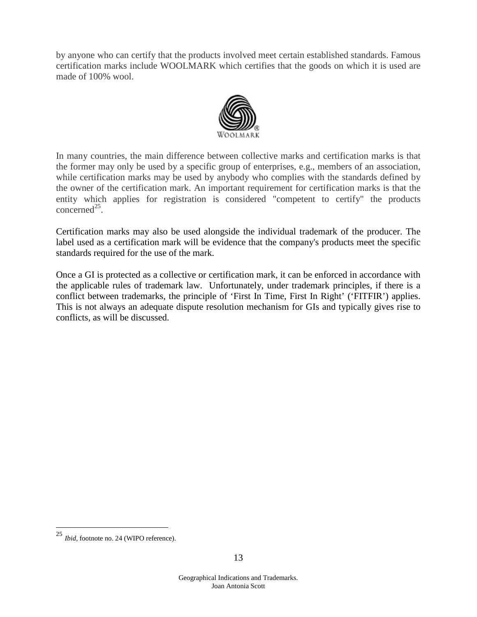by anyone who can certify that the products involved meet certain established standards. Famous certification marks include WOOLMARK which certifies that the goods on which it is used are made of 100% wool.



In many countries, the main difference between collective marks and certification marks is that the former may only be used by a specific group of enterprises, e.g., members of an association, while certification marks may be used by anybody who complies with the standards defined by the owner of the certification mark. An important requirement for certification marks is that the entity which applies for registration is considered "competent to certify" the products concerned<sup>25</sup>.

Certification marks may also be used alongside the individual trademark of the producer. The label used as a certification mark will be evidence that the company's products meet the specific standards required for the use of the mark.

Once a GI is protected as a collective or certification mark, it can be enforced in accordance with the applicable rules of trademark law. Unfortunately, under trademark principles, if there is a conflict between trademarks, the principle of 'First In Time, First In Right' ('FITFIR') applies. This is not always an adequate dispute resolution mechanism for GIs and typically gives rise to conflicts, as will be discussed.

 <sup>25</sup> *Ibid*, footnote no. 24 (WIPO reference).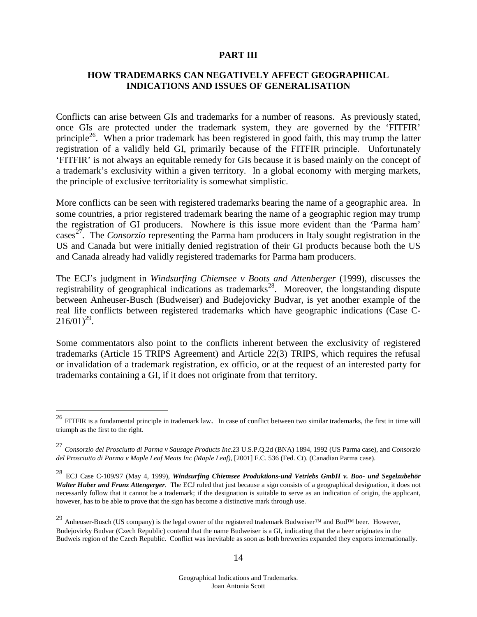#### **PART III**

# <span id="page-13-1"></span><span id="page-13-0"></span>**HOW TRADEMARKS CAN NEGATIVELY AFFECT GEOGRAPHICAL INDICATIONS AND ISSUES OF GENERALISATION**

Conflicts can arise between GIs and trademarks for a number of reasons. As previously stated, once GIs are protected under the trademark system, they are governed by the 'FITFIR' principle<sup>26</sup>. When a prior trademark has been registered in good faith, this may trump the latter registration of a validly held GI, primarily because of the FITFIR principle. Unfortunately 'FITFIR' is not always an equitable remedy for GIs because it is based mainly on the concept of a trademark's exclusivity within a given territory. In a global economy with merging markets, the principle of exclusive territoriality is somewhat simplistic.

More conflicts can be seen with registered trademarks bearing the name of a geographic area. In some countries, a prior registered trademark bearing the name of a geographic region may trump the registration of GI producers. Nowhere is this issue more evident than the 'Parma ham' cases 27. The *Consorzio* representing the Parma ham producers in Italy sought registration in the US and Canada but were initially denied registration of their GI products because both the US and Canada already had validly registered trademarks for Parma ham producers.

The ECJ's judgment in *Windsurfing Chiemsee v Boots and Attenberger* (1999), discusses the registrability of geographical indications as trademarks<sup>28</sup>. Moreover, the longstanding dispute between Anheuser-Busch (Budweiser) and Budejovicky Budvar, is yet another example of the real life conflicts between registered trademarks which have geographic indications (Case C- $216/01)^{29}$ .

Some commentators also point to the conflicts inherent between the exclusivity of registered trademarks (Article 15 TRIPS Agreement) and Article 22(3) TRIPS, which requires the refusal or invalidation of a trademark registration, ex officio, or at the request of an interested party for trademarks containing a GI, if it does not originate from that territory.

 $^{26}$  FITFIR is a fundamental principle in trademark law. In case of conflict between two similar trademarks, the first in time will triumph as the first to the right.

<sup>27</sup> *Consorzio del Prosciutto di Parma v Sausage Products Inc*.23 U.S.P.Q.2d (BNA) 1894, 1992 (US Parma case), and *Consorzio del Prosciutto di Parma v Maple Leaf Meats Inc (Maple Leaf),* [2001] F.C. 536 (Fed. Ct). (Canadian Parma case).

<sup>28</sup> ECJ Case C-109/97 (May 4, 1999), *Windsurfing Chiemsee Produktions-und Vetriebs GmbH v. Boo- und Segelzubehör Walter Huber und Franz Attengerger*. The ECJ ruled that just because a sign consists of a geographical designation, it does not necessarily follow that it cannot be a trademark; if the designation is suitable to serve as an indication of origin, the applicant, however, has to be able to prove that the sign has become a distinctive mark through use.

<sup>29</sup> Anheuser-Busch (US company) is the legal owner of the registered trademark Budweiser™ and Bud™ beer. However, Budejovicky Budvar (Czech Republic) contend that the name Budweiser is a GI, indicating that the a beer originates in the Budweis region of the Czech Republic. Conflict was inevitable as soon as both breweries expanded they exports internationally.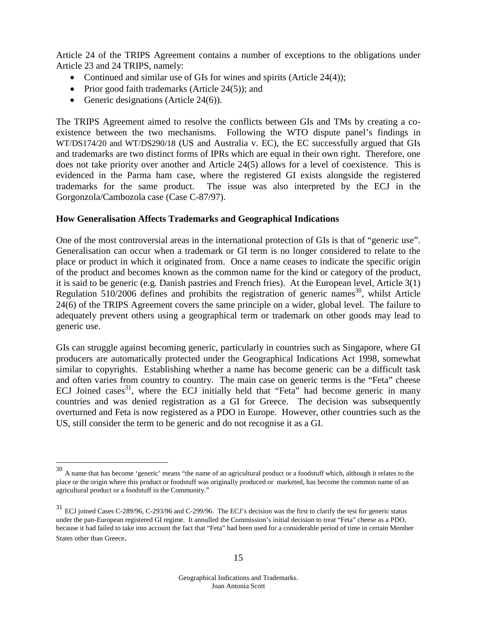Article 24 of the TRIPS Agreement contains a number of exceptions to the obligations under Article 23 and 24 TRIPS, namely:

- Continued and similar use of GIs for wines and spirits (Article 24(4));
- Prior good faith trademarks (Article 24(5)); and
- Generic designations (Article 24(6)).

The TRIPS Agreement aimed to resolve the conflicts between GIs and TMs by creating a coexistence between the two mechanisms. Following the WTO dispute panel's findings in WT/DS174/20 and WT/DS290/18 (US and Australia v. EC), the EC successfully argued that GIs and trademarks are two distinct forms of IPRs which are equal in their own right. Therefore, one does not take priority over another and Article 24(5) allows for a level of coexistence. This is evidenced in the Parma ham case, where the registered GI exists alongside the registered trademarks for the same product. The issue was also interpreted by the ECJ in the Gorgonzola/Cambozola case (Case C-87/97).

### **How Generalisation Affects Trademarks and Geographical Indications**

One of the most controversial areas in the international protection of GIs is that of "generic use". Generalisation can occur when a trademark or GI term is no longer considered to relate to the place or product in which it originated from. Once a name ceases to indicate the specific origin of the product and becomes known as the common name for the kind or category of the product, it is said to be generic (e.g. Danish pastries and French fries). At the European level, Article 3(1) Regulation  $510/2006$  defines and prohibits the registration of generic names<sup>30</sup>, whilst Article 24(6) of the TRIPS Agreement covers the same principle on a wider, global level. The failure to adequately prevent others using a geographical term or trademark on other goods may lead to generic use.

GIs can struggle against becoming generic, particularly in countries such as Singapore, where GI producers are automatically protected under the Geographical Indications Act 1998, somewhat similar to copyrights. Establishing whether a name has become generic can be a difficult task and often varies from country to country. The main case on generic terms is the "Feta" cheese ECJ Joined cases<sup>31</sup>, where the ECJ initially held that "Feta" had become generic in many countries and was denied registration as a GI for Greece. The decision was subsequently overturned and Feta is now registered as a PDO in Europe. However, other countries such as the US, still consider the term to be generic and do not recognise it as a GI.

<sup>&</sup>lt;sup>30</sup> A name that has become 'generic' means "the name of an agricultural product or a foodstuff which, although it relates to the place or the origin where this product or foodstuff was originally produced or marketed, has become the common name of an agricultural product or a foodstuff in the Community."

 $31$  ECJ joined Cases C-289/96, C-293/96 and C-299/96. The ECJ's decision was the first to clarify the test for generic status under the pan-European registered GI regime. It annulled the Commission's initial decision to treat "Feta" cheese as a PDO, because it had failed to take into account the fact that "Feta" had been used for a considerable period of time in certain Member States other than Greece.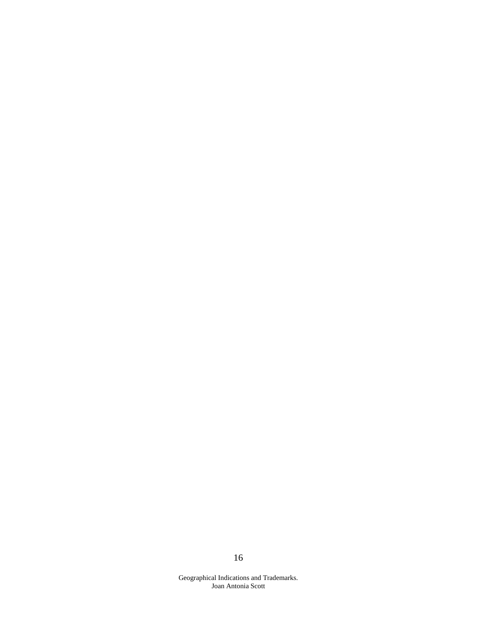Geographical Indications and Trademarks. Joan Antonia Scott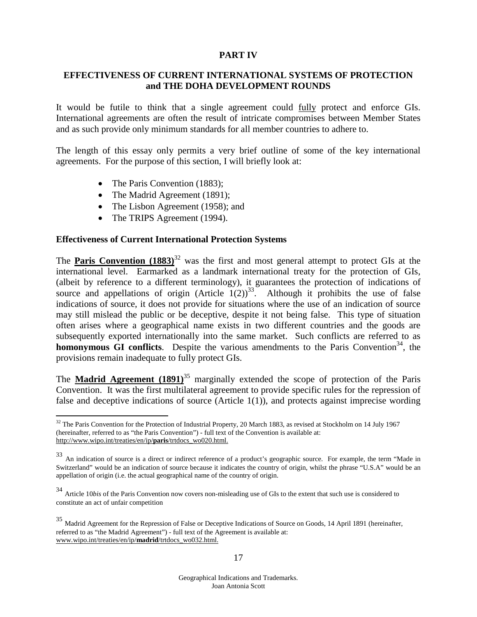# **PART IV**

# <span id="page-16-1"></span><span id="page-16-0"></span>**EFFECTIVENESS OF CURRENT INTERNATIONAL SYSTEMS OF PROTECTION and THE DOHA DEVELOPMENT ROUNDS**

It would be futile to think that a single agreement could fully protect and enforce GIs. International agreements are often the result of intricate compromises between Member States and as such provide only minimum standards for all member countries to adhere to.

The length of this essay only permits a very brief outline of some of the key international agreements. For the purpose of this section, I will briefly look at:

- The Paris Convention (1883);
- The Madrid Agreement (1891);
- The Lisbon Agreement (1958); and
- The TRIPS Agreement (1994).

### **Effectiveness of Current International Protection Systems**

The **Paris Convention**  $(1883)^{32}$  was the first and most general attempt to protect GIs at the international level. Earmarked as a landmark international treaty for the protection of GIs, (albeit by reference to a different terminology), it guarantees the protection of indications of source and appellations of origin  $(A \text{rticle } 1(2))^{33}$ . Although it prohibits the use of false indications of source, it does not provide for situations where the use of an indication of source may still mislead the public or be deceptive, despite it not being false. This type of situation often arises where a geographical name exists in two different countries and the goods are subsequently exported internationally into the same market. Such conflicts are referred to as **homonymous GI conflicts**. Despite the various amendments to the Paris Convention<sup>34</sup>, the provisions remain inadequate to fully protect GIs.

The **Madrid Agreement** (1891)<sup>35</sup> marginally extended the scope of protection of the Paris Convention. It was the first multilateral agreement to provide specific rules for the repression of false and deceptive indications of source (Article 1(1)), and protects against imprecise wording

 $32$  The Paris Convention for the Protection of Industrial Property, 20 March 1883, as revised at Stockholm on 14 July 1967 (hereinafter, referred to as "the Paris Convention") - full text of the Convention is available at: [http://www.wipo.int/treaties/en/ip/](http://www.wipo.int/treaties/en/ip/paris/trtdocs_wo020.html)**paris**/trtdocs\_wo020.html.

<sup>33</sup> An indication of source is a direct or indirect reference of a product's geographic source. For example, the term "Made in Switzerland" would be an indication of source because it indicates the country of origin, whilst the phrase "U.S.A" would be an appellation of origin (i.e. the actual geographical name of the country of origin.

<sup>&</sup>lt;sup>34</sup> Article 10*bis* of the Paris Convention now covers non-misleading use of GIs to the extent that such use is considered to constitute an act of unfair competition

<sup>35</sup> Madrid Agreement for the Repression of False or Deceptive Indications of Source on Goods, 14 April 1891 (hereinafter, referred to as "the Madrid Agreement") - full text of the Agreement is available at: [www.wipo.int/treaties/en/ip/](http://www.wipo.int/treaties/en/ip/madrid/trtdocs_wo032.html)**madrid**/trtdocs\_wo032.html.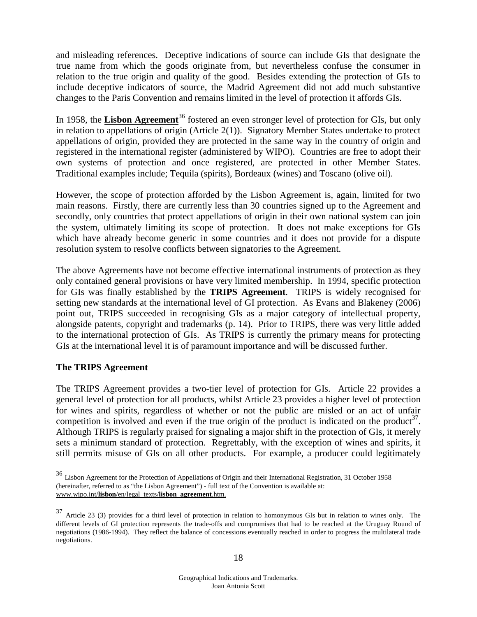and misleading references. Deceptive indications of source can include GIs that designate the true name from which the goods originate from, but nevertheless confuse the consumer in relation to the true origin and quality of the good. Besides extending the protection of GIs to include deceptive indicators of source, the Madrid Agreement did not add much substantive changes to the Paris Convention and remains limited in the level of protection it affords GIs.

In 1958, the **Lisbon Agreement**<sup>36</sup> fostered an even stronger level of protection for GIs, but only in relation to appellations of origin (Article 2(1)). Signatory Member States undertake to protect appellations of origin, provided they are protected in the same way in the country of origin and registered in the international register (administered by WIPO). Countries are free to adopt their own systems of protection and once registered, are protected in other Member States. Traditional examples include; Tequila (spirits), Bordeaux (wines) and Toscano (olive oil).

However, the scope of protection afforded by the Lisbon Agreement is, again, limited for two main reasons. Firstly, there are currently less than 30 countries signed up to the Agreement and secondly, only countries that protect appellations of origin in their own national system can join the system, ultimately limiting its scope of protection. It does not make exceptions for GIs which have already become generic in some countries and it does not provide for a dispute resolution system to resolve conflicts between signatories to the Agreement.

The above Agreements have not become effective international instruments of protection as they only contained general provisions or have very limited membership. In 1994, specific protection for GIs was finally established by the **TRIPS Agreement**. TRIPS is widely recognised for setting new standards at the international level of GI protection. As Evans and Blakeney (2006) point out, TRIPS succeeded in recognising GIs as a major category of intellectual property, alongside patents, copyright and trademarks (p. 14). Prior to TRIPS, there was very little added to the international protection of GIs. As TRIPS is currently the primary means for protecting GIs at the international level it is of paramount importance and will be discussed further.

# **The TRIPS Agreement**

The TRIPS Agreement provides a two-tier level of protection for GIs. Article 22 provides a general level of protection for all products, whilst Article 23 provides a higher level of protection for wines and spirits, regardless of whether or not the public are misled or an act of unfair competition is involved and even if the true origin of the product is indicated on the product.<sup>37</sup>. Although TRIPS is regularly praised for signaling a major shift in the protection of GIs, it merely sets a minimum standard of protection. Regrettably, with the exception of wines and spirits, it still permits misuse of GIs on all other products. For example, a producer could legitimately

 <sup>36</sup> Lisbon Agreement for the Protection of Appellations of Origin and their International Registration, 31 October 1958 (hereinafter, referred to as "the Lisbon Agreement") - full text of the Convention is available at: www.wipo.int/**lisbon**[/en/legal\\_texts/](http://www.wipo.int/lisbon/en/legal_texts/lisbon_agreement.htm)**lisbon**\_**agreement**.htm.

 $37$  Article 23 (3) provides for a third level of protection in relation to homonymous GIs but in relation to wines only. The different levels of GI protection represents the trade-offs and compromises that had to be reached at the Uruguay Round of negotiations (1986-1994). They reflect the balance of concessions eventually reached in order to progress the multilateral trade negotiations.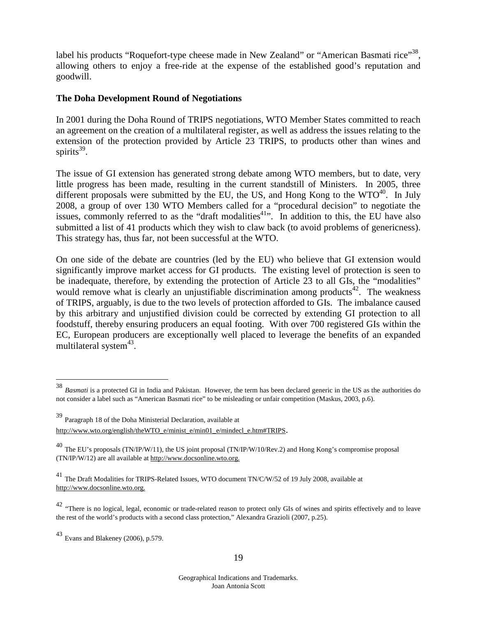label his products "Roquefort-type cheese made in New Zealand" or "American Basmati rice"<sup>38</sup>, allowing others to enjoy a free-ride at the expense of the established good's reputation and goodwill.

### **The Doha Development Round of Negotiations**

In 2001 during the Doha Round of TRIPS negotiations, WTO Member States committed to reach an agreement on the creation of a multilateral register, as well as address the issues relating to the extension of the protection provided by Article 23 TRIPS, to products other than wines and spirits $39$ .

The issue of GI extension has generated strong debate among WTO members, but to date, very little progress has been made, resulting in the current standstill of Ministers. In 2005, three different proposals were submitted by the EU, the US, and Hong Kong to the  $WTO^{40}$ . In July 2008, a group of over 130 WTO Members called for a "procedural decision" to negotiate the issues, commonly referred to as the "draft modalities $41$ ". In addition to this, the EU have also submitted a list of 41 products which they wish to claw back (to avoid problems of genericness). This strategy has, thus far, not been successful at the WTO.

On one side of the debate are countries (led by the EU) who believe that GI extension would significantly improve market access for GI products. The existing level of protection is seen to be inadequate, therefore, by extending the protection of Article 23 to all GIs, the "modalities" would remove what is clearly an uniustifiable discrimination among products<sup>42</sup>. The weakness of TRIPS, arguably, is due to the two levels of protection afforded to GIs. The imbalance caused by this arbitrary and unjustified division could be corrected by extending GI protection to all foodstuff, thereby ensuring producers an equal footing. With over 700 registered GIs within the EC, European producers are exceptionally well placed to leverage the benefits of an expanded multilateral system $43$ .

<sup>&</sup>lt;sup>38</sup> *Basmati* is a protected GI in India and Pakistan. However, the term has been declared generic in the US as the authorities do not consider a label such as "American Basmati rice" to be misleading or unfair competition (Maskus, 2003, p.6).

<sup>39</sup> Paragraph 18 of the Doha Ministerial Declaration, available at

[http://www.wto.org/english/theWTO\\_e/minist\\_e/min01\\_e/mindecl\\_e.htm#TRIPS.](http://www.wto.org/english/theWTO_e/minist_e/min01_e/mindecl_e.htm#TRIPS)

<sup>&</sup>lt;sup>40</sup> The EU's proposals (TN/IP/W/11), the US joint proposal (TN/IP/W/10/Rev.2) and Hong Kong's compromise proposal (TN/IP/W/12) are all available a[t http://www.docsonline.wto.org.](http://www.docsonline.wto.org/)

<sup>41</sup> The Draft Modalities for TRIPS-Related Issues, WTO document TN/C/W/52 of 19 July 2008, available at [http://www.docsonline.wto.org.](http://www.docsonline.wto.org/)

 $^{42}$  "There is no logical, legal, economic or trade-related reason to protect only GIs of wines and spirits effectively and to leave the rest of the world's products with a second class protection," Alexandra Grazioli (2007, p.25).

 $43$  Evans and Blakeney (2006), p.579.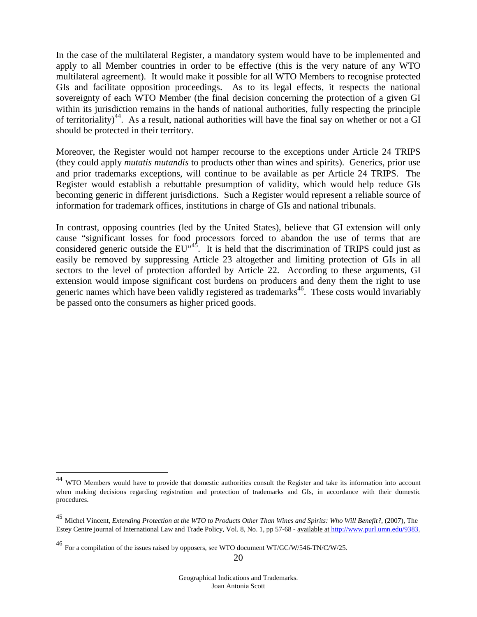In the case of the multilateral Register, a mandatory system would have to be implemented and apply to all Member countries in order to be effective (this is the very nature of any WTO multilateral agreement). It would make it possible for all WTO Members to recognise protected GIs and facilitate opposition proceedings. As to its legal effects, it respects the national sovereignty of each WTO Member (the final decision concerning the protection of a given GI within its jurisdiction remains in the hands of national authorities, fully respecting the principle of territoriality)44. As a result, national authorities will have the final say on whether or not a GI should be protected in their territory.

Moreover, the Register would not hamper recourse to the exceptions under Article 24 TRIPS (they could apply *mutatis mutandis* to products other than wines and spirits). Generics, prior use and prior trademarks exceptions, will continue to be available as per Article 24 TRIPS. The Register would establish a rebuttable presumption of validity, which would help reduce GIs becoming generic in different jurisdictions. Such a Register would represent a reliable source of information for trademark offices, institutions in charge of GIs and national tribunals.

In contrast, opposing countries (led by the United States), believe that GI extension will only cause "significant losses for food processors forced to abandon the use of terms that are considered generic outside the  $EU^{45}$ . It is held that the discrimination of TRIPS could just as easily be removed by suppressing Article 23 altogether and limiting protection of GIs in all sectors to the level of protection afforded by Article 22. According to these arguments, GI extension would impose significant cost burdens on producers and deny them the right to use generic names which have been validly registered as trademarks<sup>46</sup>. These costs would invariably be passed onto the consumers as higher priced goods.

<sup>&</sup>lt;sup>44</sup> WTO Members would have to provide that domestic authorities consult the Register and take its information into account when making decisions regarding registration and protection of trademarks and GIs, in accordance with their domestic procedures.

<sup>45</sup> Michel Vincent, *Extending Protection at the WTO to Products Other Than Wines and Spirits: Who Will Benefit?*, (2007), The Estey Centre journal of International Law and Trade Policy, Vol. 8, No. 1, pp 57-68 - available at [http://www.purl.umn.edu/9383.](http://www.purl.umn.edu/9383)

 $^{46}$  For a compilation of the issues raised by opposers, see WTO document WT/GC/W/546-TN/C/W/25.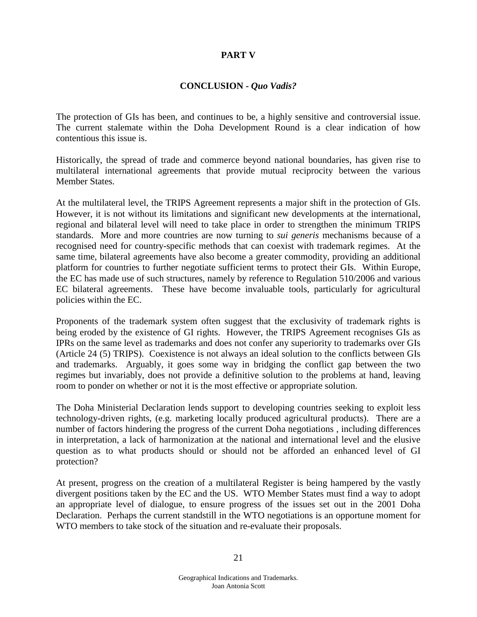# **PART V**

### **CONCLUSION -** *Quo Vadis?*

<span id="page-20-1"></span><span id="page-20-0"></span>The protection of GIs has been, and continues to be, a highly sensitive and controversial issue. The current stalemate within the Doha Development Round is a clear indication of how contentious this issue is.

Historically, the spread of trade and commerce beyond national boundaries, has given rise to multilateral international agreements that provide mutual reciprocity between the various Member States.

At the multilateral level, the TRIPS Agreement represents a major shift in the protection of GIs. However, it is not without its limitations and significant new developments at the international, regional and bilateral level will need to take place in order to strengthen the minimum TRIPS standards. More and more countries are now turning to *sui generis* mechanisms because of a recognised need for country-specific methods that can coexist with trademark regimes. At the same time, bilateral agreements have also become a greater commodity, providing an additional platform for countries to further negotiate sufficient terms to protect their GIs. Within Europe, the EC has made use of such structures, namely by reference to Regulation 510/2006 and various EC bilateral agreements. These have become invaluable tools, particularly for agricultural policies within the EC.

Proponents of the trademark system often suggest that the exclusivity of trademark rights is being eroded by the existence of GI rights. However, the TRIPS Agreement recognises GIs as IPRs on the same level as trademarks and does not confer any superiority to trademarks over GIs (Article 24 (5) TRIPS). Coexistence is not always an ideal solution to the conflicts between GIs and trademarks. Arguably, it goes some way in bridging the conflict gap between the two regimes but invariably, does not provide a definitive solution to the problems at hand, leaving room to ponder on whether or not it is the most effective or appropriate solution.

The Doha Ministerial Declaration lends support to developing countries seeking to exploit less technology-driven rights, (e.g. marketing locally produced agricultural products). There are a number of factors hindering the progress of the current Doha negotiations , including differences in interpretation, a lack of harmonization at the national and international level and the elusive question as to what products should or should not be afforded an enhanced level of GI protection?

At present, progress on the creation of a multilateral Register is being hampered by the vastly divergent positions taken by the EC and the US. WTO Member States must find a way to adopt an appropriate level of dialogue, to ensure progress of the issues set out in the 2001 Doha Declaration. Perhaps the current standstill in the WTO negotiations is an opportune moment for WTO members to take stock of the situation and re-evaluate their proposals.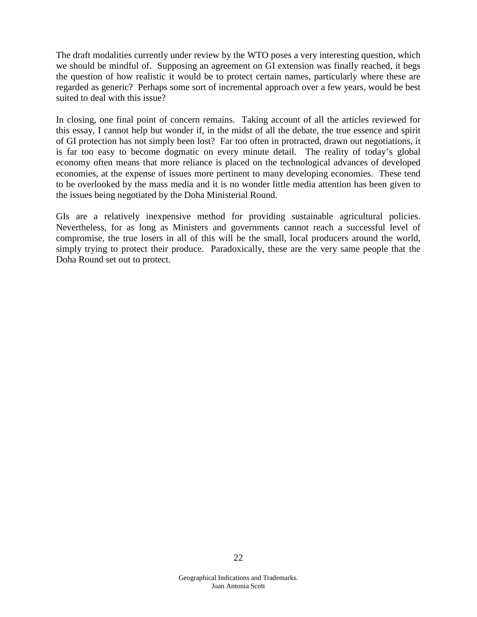The draft modalities currently under review by the WTO poses a very interesting question, which we should be mindful of. Supposing an agreement on GI extension was finally reached, it begs the question of how realistic it would be to protect certain names, particularly where these are regarded as generic? Perhaps some sort of incremental approach over a few years, would be best suited to deal with this issue?

In closing, one final point of concern remains. Taking account of all the articles reviewed for this essay, I cannot help but wonder if, in the midst of all the debate, the true essence and spirit of GI protection has not simply been lost? Far too often in protracted, drawn out negotiations, it is far too easy to become dogmatic on every minute detail. The reality of today's global economy often means that more reliance is placed on the technological advances of developed economies, at the expense of issues more pertinent to many developing economies. These tend to be overlooked by the mass media and it is no wonder little media attention has been given to the issues being negotiated by the Doha Ministerial Round.

GIs are a relatively inexpensive method for providing sustainable agricultural policies. Nevertheless, for as long as Ministers and governments cannot reach a successful level of compromise, the true losers in all of this will be the small, local producers around the world, simply trying to protect their produce. Paradoxically, these are the very same people that the Doha Round set out to protect.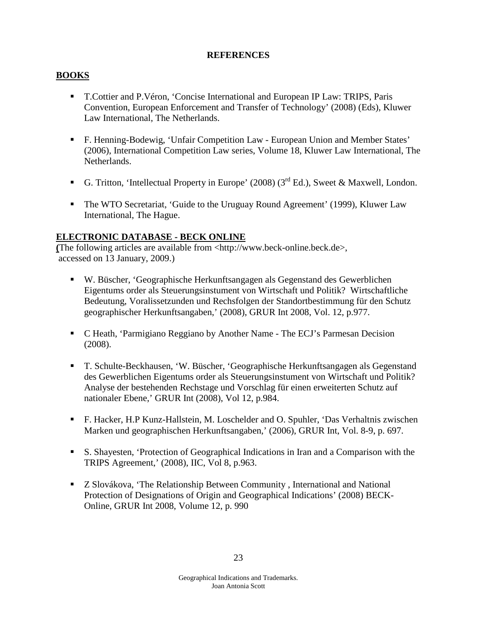# **REFERENCES**

# <span id="page-22-0"></span>**BOOKS**

- T.Cottier and P.Véron, 'Concise International and European IP Law: TRIPS, Paris Convention, European Enforcement and Transfer of Technology' (2008) (Eds), Kluwer Law International, The Netherlands.
- F. Henning-Bodewig, 'Unfair Competition Law European Union and Member States' (2006), International Competition Law series, Volume 18, Kluwer Law International, The Netherlands.
- G. Tritton, 'Intellectual Property in Europe' (2008) ( $3<sup>rd</sup> Ed$ ), Sweet & Maxwell, London.
- The WTO Secretariat, 'Guide to the Uruguay Round Agreement' (1999), Kluwer Law International, The Hague.

# **ELECTRONIC DATABASE - BECK ONLINE**

**(**The following articles are available from <http://www.beck-online.beck.de>, accessed on 13 January, 2009.)

- W. Büscher, 'Geographische Herkunftsangagen als Gegenstand des Gewerblichen Eigentums order als Steuerungsinstument von Wirtschaft und Politik? Wirtschaftliche Bedeutung, Voralissetzunden und Rechsfolgen der Standortbestimmung für den Schutz geographischer Herkunftsangaben,' (2008), GRUR Int 2008, Vol. 12, p.977.
- C Heath, 'Parmigiano Reggiano by Another Name The ECJ's Parmesan Decision (2008).
- T. Schulte-Beckhausen, 'W. Büscher, 'Geographische Herkunftsangagen als Gegenstand des Gewerblichen Eigentums order als Steuerungsinstument von Wirtschaft und Politik? Analyse der bestehenden Rechstage und Vorschlag für einen erweiterten Schutz auf nationaler Ebene,' GRUR Int (2008), Vol 12, p.984.
- F. Hacker, H.P Kunz-Hallstein, M. Loschelder and O. Spuhler, 'Das Verhaltnis zwischen Marken und geographischen Herkunftsangaben,' (2006), GRUR Int, Vol. 8-9, p. 697.
- S. Shayesten, 'Protection of Geographical Indications in Iran and a Comparison with the TRIPS Agreement,' (2008), IIC, Vol 8, p.963.
- Z Slovákova, 'The Relationship Between Community , International and National Protection of Designations of Origin and Geographical Indications' (2008) BECK-Online, GRUR Int 2008, Volume 12, p. 990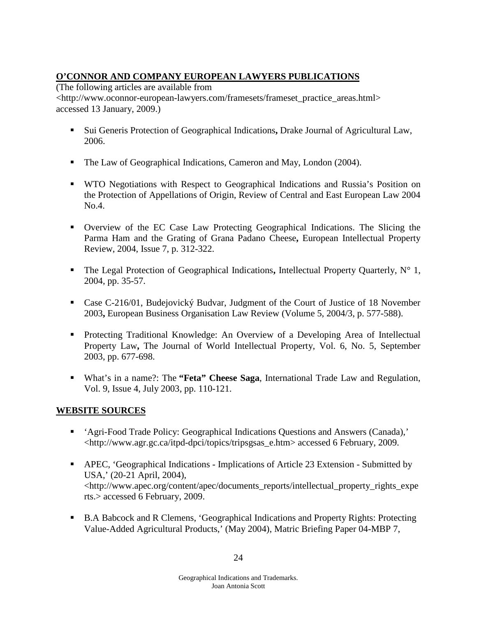# **O'CONNOR AND COMPANY EUROPEAN LAWYERS PUBLICATIONS**

(The following articles are available from

<http://www.oconnor-european-lawyers.com/framesets/frameset\_practice\_areas.html> accessed 13 January, 2009.)

- Sui Generis Protection of Geographical Indications**,** Drake Journal of Agricultural Law, 2006.
- The Law of Geographical Indications, Cameron and May, London (2004).
- WTO Negotiations with Respect to Geographical Indications and Russia's Position on the Protection of Appellations of Origin, Review of Central and East European Law 2004 No.4.
- Overview of the EC Case Law Protecting Geographical Indications. The Slicing the Parma Ham and the Grating of Grana Padano Cheese**,** European Intellectual Property Review, 2004, Issue 7, p. 312-322.
- The Legal Protection of Geographical Indications, Intellectual Property Quarterly, N° 1, 2004, pp. 35-57.
- Case C-216/01, Budejovický Budvar, Judgment of the Court of Justice of 18 November 2003**,** European Business Organisation Law Review (Volume 5, 2004/3, p. 577-588).
- Protecting Traditional Knowledge: An Overview of a Developing Area of Intellectual Property Law**,** The Journal of World Intellectual Property, Vol. 6, No. 5, September 2003, pp. 677-698.
- What's in a name?: The **"Feta" Cheese Saga**, International Trade Law and Regulation, Vol. 9, Issue 4, July 2003, pp. 110-121.

# **WEBSITE SOURCES**

- 'Agri-Food Trade Policy: Geographical Indications Questions and Answers (Canada),' <http://www.agr.gc.ca/itpd-dpci/topics/tripsgsas\_e.htm> accessed 6 February, 2009.
- APEC, 'Geographical Indications Implications of Article 23 Extension Submitted by USA,' (20-21 April, 2004), <http://www.apec.org/content/apec/documents\_reports/intellectual\_property\_rights\_expe rts.> accessed 6 February, 2009.
- B.A Babcock and R Clemens, 'Geographical Indications and Property Rights: Protecting Value-Added Agricultural Products,' (May 2004), Matric Briefing Paper 04-MBP 7,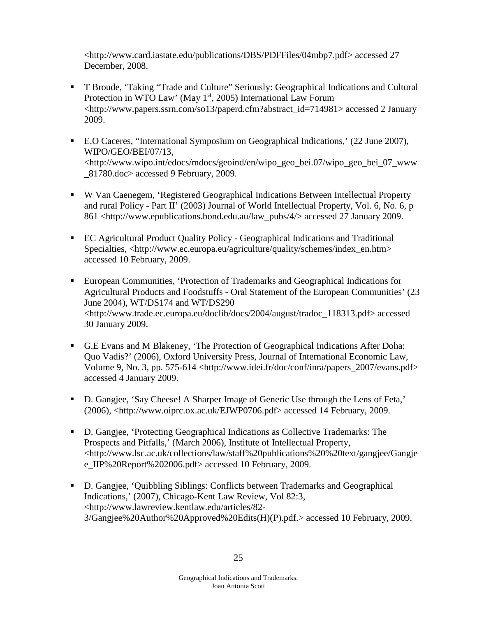<http://www.card.iastate.edu/publications/DBS/PDFFiles/04mbp7.pdf> accessed 27 December, 2008.

- T Broude, 'Taking "Trade and Culture" Seriously: Geographical Indications and Cultural Protection in WTO Law' (May  $1<sup>st</sup>$ , 2005) International Law Forum <http://www.papers.ssrn.com/so13/paperd.cfm?abstract\_id=714981> accessed 2 January 2009.
- E.O Caceres, "International Symposium on Geographical Indications,' (22 June 2007), WIPO/GEO/BEI/07/13, <http://www.wipo.int/edocs/mdocs/geoind/en/wipo\_geo\_bei.07/wipo\_geo\_bei\_07\_www \_81780.doc> accessed 9 February, 2009.
- W Van Caenegem, 'Registered Geographical Indications Between Intellectual Property and rural Policy - Part II' (2003) Journal of World Intellectual Property, Vol. 6, No. 6, p 861 <http://www.epublications.bond.edu.au/law\_pubs/4/> accessed 27 January 2009.
- EC Agricultural Product Quality Policy Geographical Indications and Traditional Specialties, <http://www.ec.europa.eu/agriculture/quality/schemes/index\_en.htm> accessed 10 February, 2009.
- European Communities, 'Protection of Trademarks and Geographical Indications for Agricultural Products and Foodstuffs - Oral Statement of the European Communities' (23 June 2004), WT/DS174 and WT/DS290 <http://www.trade.ec.europa.eu/doclib/docs/2004/august/tradoc\_118313.pdf> accessed 30 January 2009.
- G.E Evans and M Blakeney, 'The Protection of Geographical Indications After Doha: Quo Vadis?' (2006), Oxford University Press, Journal of International Economic Law, Volume 9, No. 3, pp. 575-614 <http://www.idei.fr/doc/conf/inra/papers\_2007/evans.pdf> accessed 4 January 2009.
- D. Gangjee, 'Say Cheese! A Sharper Image of Generic Use through the Lens of Feta,' (2006), <http://www.oiprc.ox.ac.uk/EJWP0706.pdf> accessed 14 February, 2009.
- D. Gangjee, 'Protecting Geographical Indications as Collective Trademarks: The Prospects and Pitfalls,' (March 2006), Institute of Intellectual Property, <http://www.lsc.ac.uk/collections/law/staff%20publications%20%20text/gangjee/Gangje e\_IIP%20Report%202006.pdf> accessed 10 February, 2009.
- D. Gangjee, 'Quibbling Siblings: Conflicts between Trademarks and Geographical Indications,' (2007), Chicago-Kent Law Review, Vol 82:3, <http://www.lawreview.kentlaw.edu/articles/82- 3/Gangjee%20Author%20Approved%20Edits(H)(P).pdf.> accessed 10 February, 2009.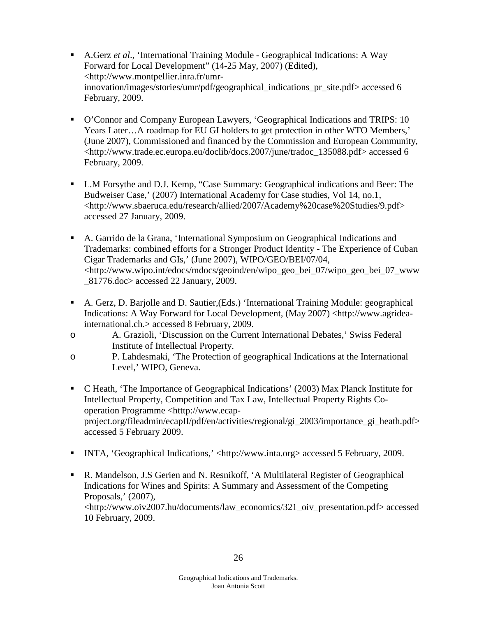- A.Gerz *et al*., 'International Training Module Geographical Indications: A Way Forward for Local Development" (14-25 May, 2007) (Edited), <http://www.montpellier.inra.fr/umrinnovation/images/stories/umr/pdf/geographical\_indications\_pr\_site.pdf> accessed 6 February, 2009.
- O'Connor and Company European Lawyers, 'Geographical Indications and TRIPS: 10 Years Later…A roadmap for EU GI holders to get protection in other WTO Members,' (June 2007), Commissioned and financed by the Commission and European Community, <http://www.trade.ec.europa.eu/doclib/docs.2007/june/tradoc\_135088.pdf> accessed 6 February, 2009.
- L.M Forsythe and D.J. Kemp, "Case Summary: Geographical indications and Beer: The Budweiser Case,' (2007) International Academy for Case studies, Vol 14, no.1, <http://www.sbaeruca.edu/research/allied/2007/Academy%20case%20Studies/9.pdf> accessed 27 January, 2009.
- A. Garrido de la Grana, 'International Symposium on Geographical Indications and Trademarks: combined efforts for a Stronger Product Identity - The Experience of Cuban Cigar Trademarks and GIs,' (June 2007), WIPO/GEO/BEI/07/04, <http://www.wipo.int/edocs/mdocs/geoind/en/wipo\_geo\_bei\_07/wipo\_geo\_bei\_07\_www \_81776.doc> accessed 22 January, 2009.
- A. Gerz, D. Barjolle and D. Sautier,(Eds.) 'International Training Module: geographical Indications: A Way Forward for Local Development, (May 2007) <http://www.agrideainternational.ch.> accessed 8 February, 2009.
- o A. Grazioli, 'Discussion on the Current International Debates,' Swiss Federal Institute of Intellectual Property.
- o P. Lahdesmaki, 'The Protection of geographical Indications at the International Level,' WIPO, Geneva.
- C Heath, 'The Importance of Geographical Indications' (2003) Max Planck Institute for Intellectual Property, Competition and Tax Law, Intellectual Property Rights Cooperation Programme <htttp://www.ecapproject.org/fileadmin/ecapII/pdf/en/activities/regional/gi\_2003/importance\_gi\_heath.pdf> accessed 5 February 2009.
- INTA, 'Geographical Indications,' <http://www.inta.org> accessed 5 February, 2009.
- R. Mandelson, J.S Gerien and N. Resnikoff, 'A Multilateral Register of Geographical Indications for Wines and Spirits: A Summary and Assessment of the Competing Proposals,' (2007), <http://www.oiv2007.hu/documents/law\_economics/321\_oiv\_presentation.pdf> accessed 10 February, 2009.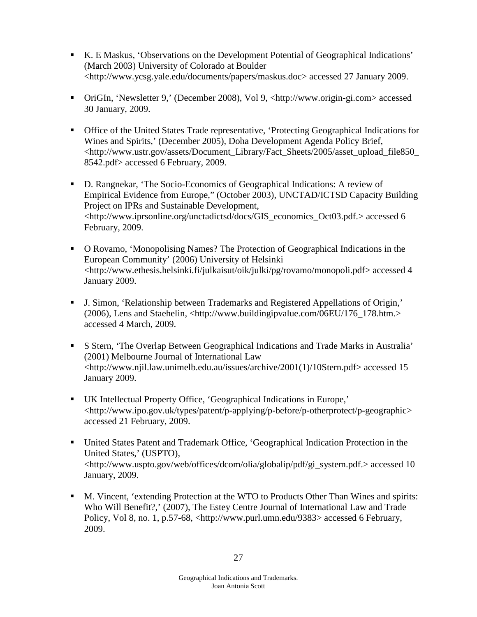- K. E Maskus, 'Observations on the Development Potential of Geographical Indications' (March 2003) University of Colorado at Boulder <http://www.ycsg.yale.edu/documents/papers/maskus.doc> accessed 27 January 2009.
- OriGIn, 'Newsletter 9,' (December 2008), Vol 9, <http://www.origin-gi.com> accessed 30 January, 2009.
- Office of the United States Trade representative, 'Protecting Geographical Indications for Wines and Spirits,' (December 2005), Doha Development Agenda Policy Brief, <http://www.ustr.gov/assets/Document\_Library/Fact\_Sheets/2005/asset\_upload\_file850\_ 8542.pdf> accessed 6 February, 2009.
- D. Rangnekar, 'The Socio-Economics of Geographical Indications: A review of Empirical Evidence from Europe," (October 2003), UNCTAD/ICTSD Capacity Building Project on IPRs and Sustainable Development, <http://www.iprsonline.org/unctadictsd/docs/GIS\_economics\_Oct03.pdf.> accessed 6 February, 2009.
- O Rovamo, 'Monopolising Names? The Protection of Geographical Indications in the European Community' (2006) University of Helsinki <http://www.ethesis.helsinki.fi/julkaisut/oik/julki/pg/rovamo/monopoli.pdf> accessed 4 January 2009.
- J. Simon, 'Relationship between Trademarks and Registered Appellations of Origin,' (2006), Lens and Staehelin, <http://www.buildingipvalue.com/06EU/176\_178.htm.> accessed 4 March, 2009.
- S Stern, 'The Overlap Between Geographical Indications and Trade Marks in Australia' (2001) Melbourne Journal of International Law <http://www.njil.law.unimelb.edu.au/issues/archive/2001(1)/10Stern.pdf> accessed 15 January 2009.
- UK Intellectual Property Office, 'Geographical Indications in Europe,' <http://www.ipo.gov.uk/types/patent/p-applying/p-before/p-otherprotect/p-geographic> accessed 21 February, 2009.
- United States Patent and Trademark Office, 'Geographical Indication Protection in the United States,' (USPTO), <http://www.uspto.gov/web/offices/dcom/olia/globalip/pdf/gi\_system.pdf.> accessed 10 January, 2009.
- M. Vincent, 'extending Protection at the WTO to Products Other Than Wines and spirits: Who Will Benefit?,' (2007), The Estey Centre Journal of International Law and Trade Policy, Vol 8, no. 1, p.57-68, <http://www.purl.umn.edu/9383> accessed 6 February, 2009.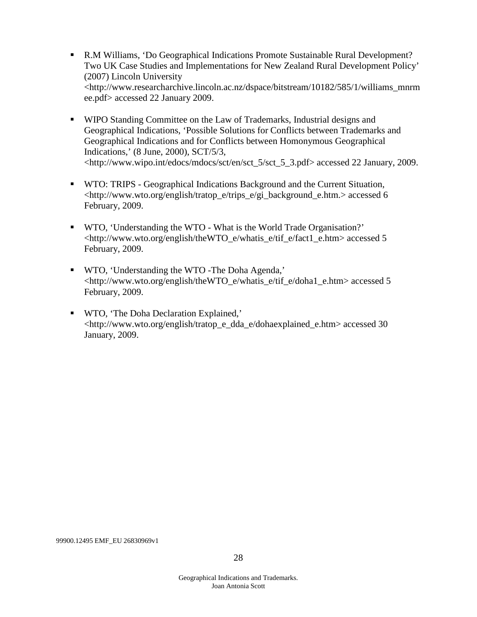- R.M Williams, 'Do Geographical Indications Promote Sustainable Rural Development? Two UK Case Studies and Implementations for New Zealand Rural Development Policy' (2007) Lincoln University <http://www.researcharchive.lincoln.ac.nz/dspace/bitstream/10182/585/1/williams\_mnrm ee.pdf> accessed 22 January 2009.
- WIPO Standing Committee on the Law of Trademarks, Industrial designs and Geographical Indications, 'Possible Solutions for Conflicts between Trademarks and Geographical Indications and for Conflicts between Homonymous Geographical Indications,' (8 June, 2000), SCT/5/3, <http://www.wipo.int/edocs/mdocs/sct/en/sct\_5/sct\_5\_3.pdf> accessed 22 January, 2009.
- WTO: TRIPS Geographical Indications Background and the Current Situation, <http://www.wto.org/english/tratop\_e/trips\_e/gi\_background\_e.htm.> accessed 6 February, 2009.
- WTO, 'Understanding the WTO What is the World Trade Organisation?' <http://www.wto.org/english/theWTO\_e/whatis\_e/tif\_e/fact1\_e.htm> accessed 5 February, 2009.
- WTO, 'Understanding the WTO -The Doha Agenda,'  $\lt$ http://www.wto.org/english/theWTO\_e/whatis\_e/tif\_e/doha1\_e.htm> accessed 5 February, 2009.
- WTO, 'The Doha Declaration Explained,' <http://www.wto.org/english/tratop\_e\_dda\_e/dohaexplained\_e.htm> accessed 30 January, 2009.

99900.12495 EMF\_EU 26830969v1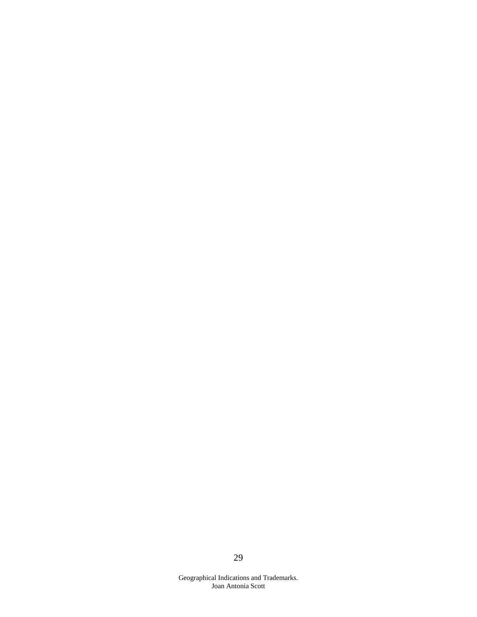Geographical Indications and Trademarks. Joan Antonia Scott